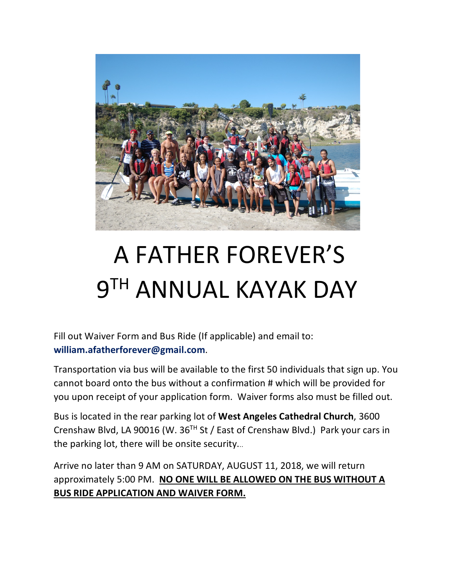

# A FATHER FOREVER'S 9TH ANNUAL KAYAK DAY

Fill out Waiver Form and Bus Ride (If applicable) and email to: **william.afatherforever@gmail.com**.

Transportation via bus will be available to the first 50 individuals that sign up. You cannot board onto the bus without a confirmation # which will be provided for you upon receipt of your application form. Waiver forms also must be filled out.

Bus is located in the rear parking lot of **West Angeles Cathedral Church**, 3600 Crenshaw Blvd, LA 90016 (W. 36TH St / East of Crenshaw Blvd.) Park your cars in the parking lot, there will be onsite security...

Arrive no later than 9 AM on SATURDAY, AUGUST 11, 2018, we will return approximately 5:00 PM. **NO ONE WILL BE ALLOWED ON THE BUS WITHOUT A BUS RIDE APPLICATION AND WAIVER FORM.**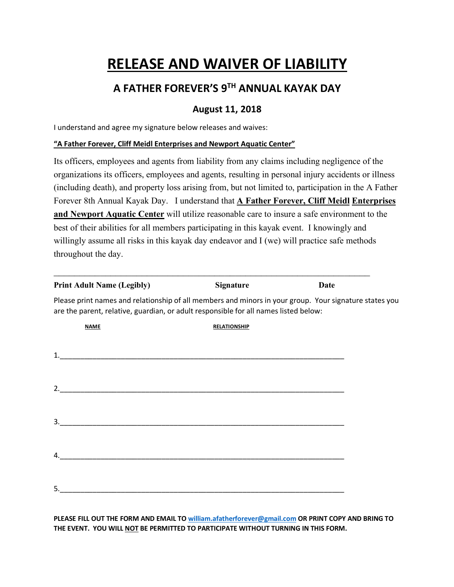# **RELEASE AND WAIVER OF LIABILITY**

## **A FATHER FOREVER'S 9TH ANNUAL KAYAK DAY**

### **August 11, 2018**

I understand and agree my signature below releases and waives:

#### **"A Father Forever, Cliff Meidl Enterprises and Newport Aquatic Center"**

Its officers, employees and agents from liability from any claims including negligence of the organizations its officers, employees and agents, resulting in personal injury accidents or illness (including death), and property loss arising from, but not limited to, participation in the A Father Forever 8th Annual Kayak Day. I understand that **A Father Forever, Cliff Meidl Enterprises and Newport Aquatic Center** will utilize reasonable care to insure a safe environment to the best of their abilities for all members participating in this kayak event. I knowingly and willingly assume all risks in this kayak day endeavor and I (we) will practice safe methods throughout the day.

| <b>Print Adult Name (Legibly)</b>                                                                                                                                                              | <b>Signature</b>    | <b>Date</b> |
|------------------------------------------------------------------------------------------------------------------------------------------------------------------------------------------------|---------------------|-------------|
| Please print names and relationship of all members and minors in your group. Your signature states you<br>are the parent, relative, guardian, or adult responsible for all names listed below: |                     |             |
| <b>NAME</b>                                                                                                                                                                                    | <b>RELATIONSHIP</b> |             |
| <u> 2000 - Jan James James James James James James James James James James James James James James James James J</u>                                                                           |                     |             |
|                                                                                                                                                                                                |                     |             |
|                                                                                                                                                                                                |                     |             |
| <u> 2000 - January Landers, amerikansk politik (d. 1982)</u><br>4.                                                                                                                             |                     |             |
|                                                                                                                                                                                                |                     |             |

**PLEASE FILL OUT THE FORM AND EMAIL TO william.afatherforever@gmail.com OR PRINT COPY AND BRING TO THE EVENT. YOU WILL NOT BE PERMITTED TO PARTICIPATE WITHOUT TURNING IN THIS FORM.**